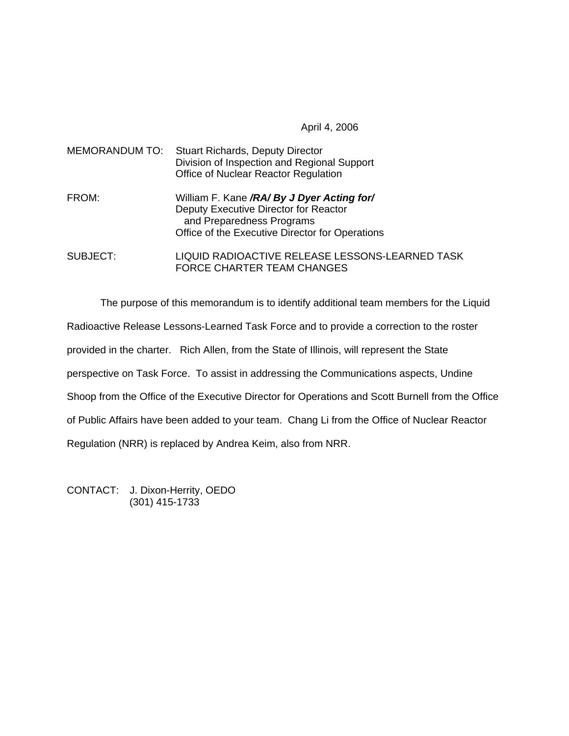April 4, 2006

| MEMORANDUM TO: | <b>Stuart Richards, Deputy Director</b><br>Division of Inspection and Regional Support<br>Office of Nuclear Reactor Regulation                                      |
|----------------|---------------------------------------------------------------------------------------------------------------------------------------------------------------------|
| FROM:          | William F. Kane /RA/ By J Dyer Acting for/<br>Deputy Executive Director for Reactor<br>and Preparedness Programs<br>Office of the Executive Director for Operations |
| SUBJECT:       | LIQUID RADIOACTIVE RELEASE LESSONS-LEARNED TASK<br><b>FORCE CHARTER TEAM CHANGES</b>                                                                                |

The purpose of this memorandum is to identify additional team members for the Liquid Radioactive Release Lessons-Learned Task Force and to provide a correction to the roster provided in the charter. Rich Allen, from the State of Illinois, will represent the State perspective on Task Force. To assist in addressing the Communications aspects, Undine Shoop from the Office of the Executive Director for Operations and Scott Burnell from the Office of Public Affairs have been added to your team. Chang Li from the Office of Nuclear Reactor Regulation (NRR) is replaced by Andrea Keim, also from NRR.

CONTACT: J. Dixon-Herrity, OEDO (301) 415-1733